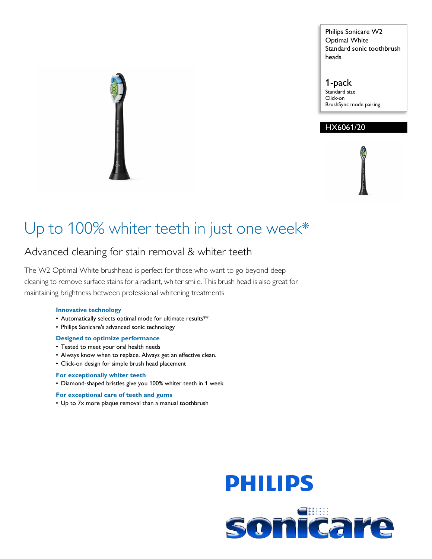Philips Sonicare W2 Optimal White Standard sonic toothbrush heads

1-pack Standard size Click-on BrushSync mode pairing

# HX6061/20

# Up to 100% whiter teeth in just one week\*

# Advanced cleaning for stain removal & whiter teeth

The W2 Optimal White brushhead is perfect for those who want to go beyond deep cleaning to remove surface stains for a radiant, whiter smile. This brush head is also great for maintaining brightness between professional whitening treatments

#### **Innovative technology**

- Automatically selects optimal mode for ultimate results\*\*
- Philips Sonicare's advanced sonic technology

#### **Designed to optimize performance**

- Tested to meet your oral health needs
- Always know when to replace. Always get an effective clean.
- Click-on design for simple brush head placement

### **For exceptionally whiter teeth**

• Diamond-shaped bristles give you 100% whiter teeth in 1 week

#### **For exceptional care of teeth and gums**

• Up to 7x more plaque removal than a manual toothbrush



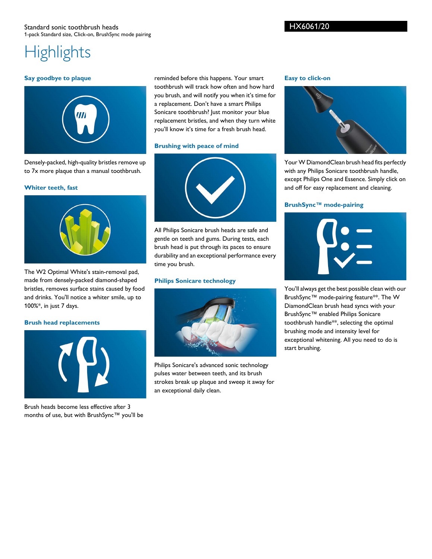## HX6061/20

# **Highlights**

#### **Say goodbye to plaque**



Densely-packed, high-quality bristles remove up to 7x more plaque than a manual toothbrush.

#### **Whiter teeth, fast**



The W2 Optimal White's stain-removal pad, made from densely-packed diamond-shaped bristles, removes surface stains caused by food and drinks. You'll notice a whiter smile, up to 100%\*, in just 7 days.

#### **Brush head replacements**



Brush heads become less effective after 3 months of use, but with BrushSync™ you'll be reminded before this happens. Your smart toothbrush will track how often and how hard you brush, and will notify you when it's time for a replacement. Don't have a smart Philips Sonicare toothbrush? Just monitor your blue replacement bristles, and when they turn white you'll know it's time for a fresh brush head.

#### **Brushing with peace of mind**

All Philips Sonicare brush heads are safe and gentle on teeth and gums. During tests, each brush head is put through its paces to ensure durability and an exceptional performance every time you brush.

#### **Philips Sonicare technology**



Philips Sonicare's advanced sonic technology pulses water between teeth, and its brush strokes break up plaque and sweep it away for an exceptional daily clean.

#### **Easy to click-on**



Your W DiamondClean brush head fits perfectly with any Philips Sonicare toothbrush handle, except Philips One and Essence. Simply click on and off for easy replacement and cleaning.

#### **BrushSync™ mode-pairing**



You'll always get the best possible clean with our BrushSync™ mode-pairing feature\*\*. The W DiamondClean brush head syncs with your BrushSync™ enabled Philips Sonicare toothbrush handle\*\*, selecting the optimal brushing mode and intensity level for exceptional whitening. All you need to do is start brushing.